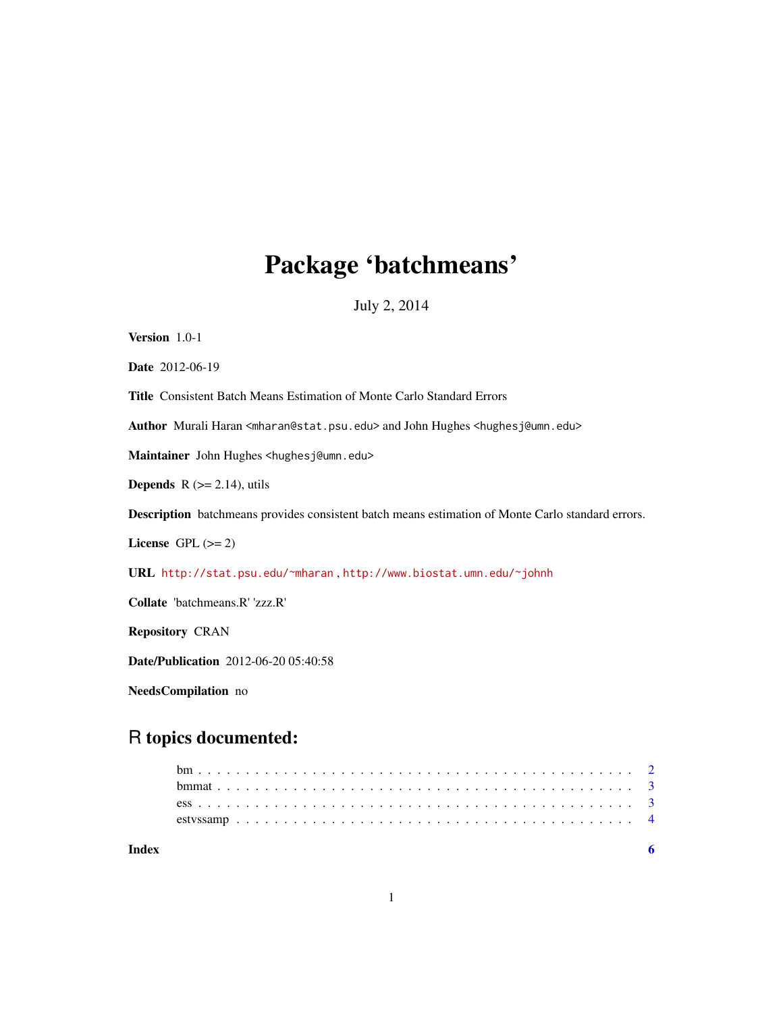# Package 'batchmeans'

July 2, 2014

<span id="page-0-0"></span>

| Version 1.0-1                                                                                                       |
|---------------------------------------------------------------------------------------------------------------------|
| <b>Date</b> 2012-06-19                                                                                              |
| <b>Title</b> Consistent Batch Means Estimation of Monte Carlo Standard Errors                                       |
| Author Murali Haran <mharan@stat.psu.edu> and John Hughes <hughesj@umn.edu></hughesj@umn.edu></mharan@stat.psu.edu> |
| Maintainer John Hughes <hughesj@umn.edu></hughesj@umn.edu>                                                          |
| <b>Depends</b> $R (= 2.14)$ , utils                                                                                 |
| <b>Description</b> batchmeans provides consistent batch means estimation of Monte Carlo standard errors.            |
| License GPL $(>= 2)$                                                                                                |
| URL http://stat.psu.edu/~mharan,http://www.biostat.umn.edu/~johnh                                                   |
| Collate 'batchmeans.R' 'zzz.R'                                                                                      |
| <b>Repository CRAN</b>                                                                                              |
| <b>Date/Publication</b> 2012-06-20 05:40:58                                                                         |

NeedsCompilation no

## R topics documented:

| Index |  |  |  |  |  |  |  |  |  |  |  |  |  |  |  |  |  |  |  |  |  |
|-------|--|--|--|--|--|--|--|--|--|--|--|--|--|--|--|--|--|--|--|--|--|
|       |  |  |  |  |  |  |  |  |  |  |  |  |  |  |  |  |  |  |  |  |  |
|       |  |  |  |  |  |  |  |  |  |  |  |  |  |  |  |  |  |  |  |  |  |
|       |  |  |  |  |  |  |  |  |  |  |  |  |  |  |  |  |  |  |  |  |  |
|       |  |  |  |  |  |  |  |  |  |  |  |  |  |  |  |  |  |  |  |  |  |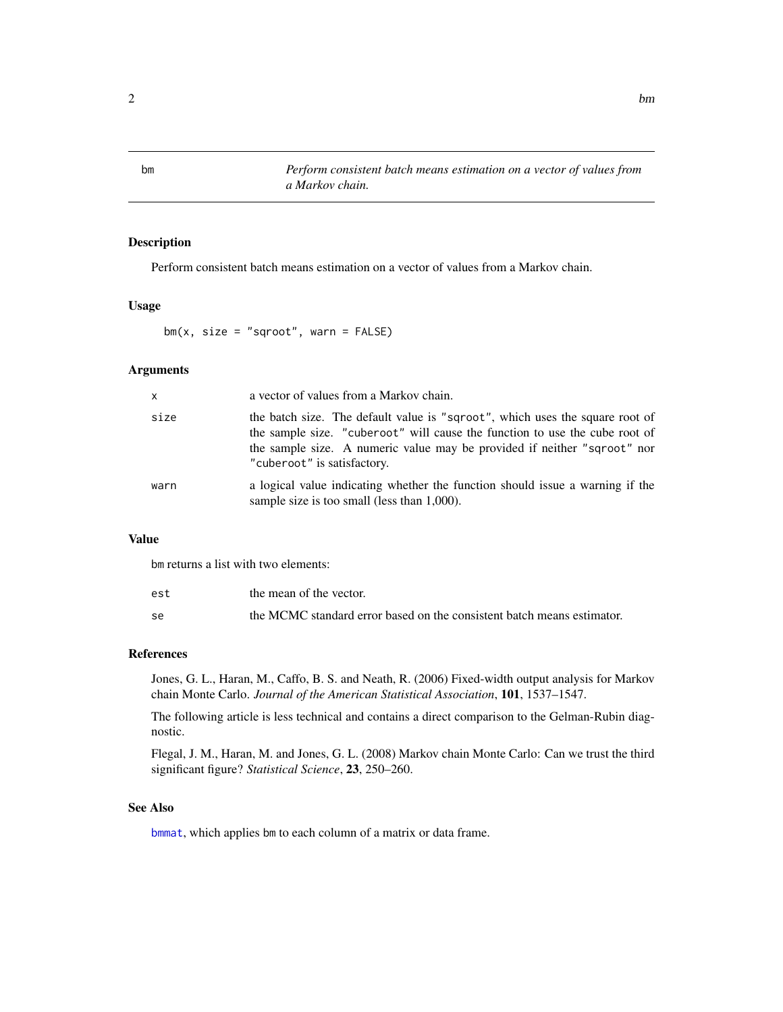<span id="page-1-1"></span><span id="page-1-0"></span>bm *Perform consistent batch means estimation on a vector of values from a Markov chain.*

#### Description

Perform consistent batch means estimation on a vector of values from a Markov chain.

#### Usage

 $bm(x, size = "sgroot", warn = FALSE)$ 

#### Arguments

| $\mathsf{x}$ | a vector of values from a Markov chain.                                                                                                                                                                                                                                |
|--------------|------------------------------------------------------------------------------------------------------------------------------------------------------------------------------------------------------------------------------------------------------------------------|
| size         | the batch size. The default value is "sqroot", which uses the square root of<br>the sample size. "cuberoot" will cause the function to use the cube root of<br>the sample size. A numeric value may be provided if neither "sqroot" nor<br>"cuberoot" is satisfactory. |
| warn         | a logical value indicating whether the function should issue a warning if the<br>sample size is too small (less than 1,000).                                                                                                                                           |

#### Value

bm returns a list with two elements:

| est | the mean of the vector.                                                |
|-----|------------------------------------------------------------------------|
| se  | the MCMC standard error based on the consistent batch means estimator. |

#### References

Jones, G. L., Haran, M., Caffo, B. S. and Neath, R. (2006) Fixed-width output analysis for Markov chain Monte Carlo. *Journal of the American Statistical Association*, 101, 1537–1547.

The following article is less technical and contains a direct comparison to the Gelman-Rubin diagnostic.

Flegal, J. M., Haran, M. and Jones, G. L. (2008) Markov chain Monte Carlo: Can we trust the third significant figure? *Statistical Science*, 23, 250–260.

#### See Also

[bmmat](#page-2-1), which applies bm to each column of a matrix or data frame.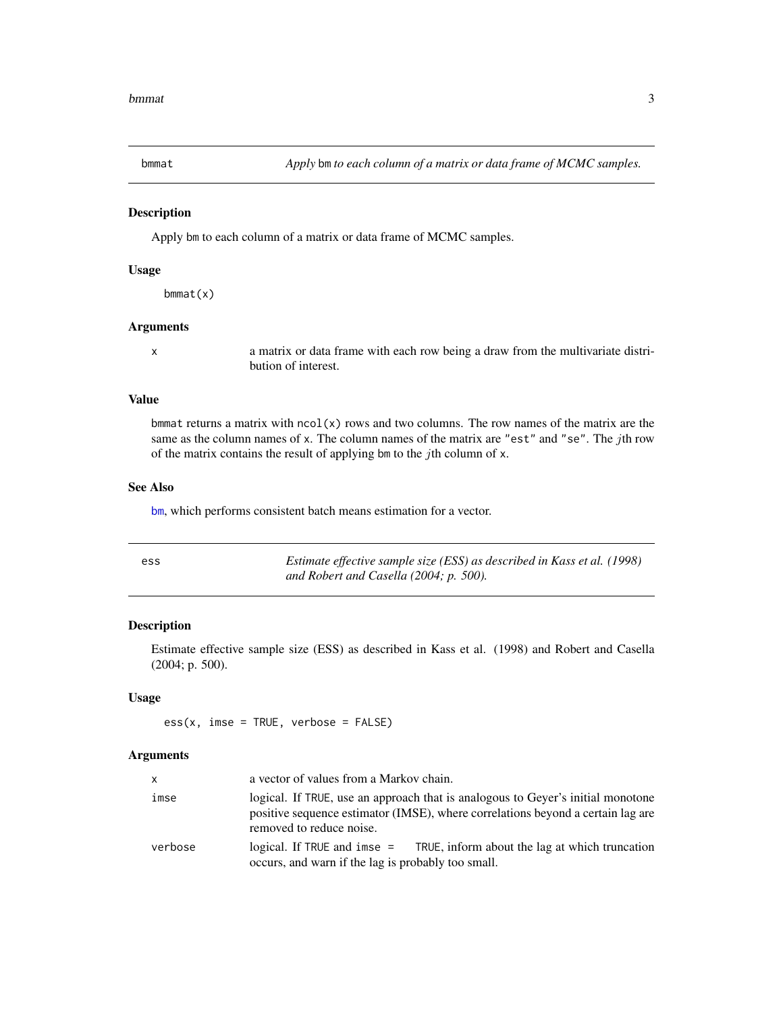<span id="page-2-1"></span><span id="page-2-0"></span>

#### Description

Apply bm to each column of a matrix or data frame of MCMC samples.

#### Usage

bmmat(x)

#### Arguments

x a matrix or data frame with each row being a draw from the multivariate distribution of interest.

#### Value

bmmat returns a matrix with  $ncol(x)$  rows and two columns. The row names of the matrix are the same as the column names of x. The column names of the matrix are "est" and "se". The jth row of the matrix contains the result of applying bm to the *j*th column of  $x$ .

#### See Also

[bm](#page-1-1), which performs consistent batch means estimation for a vector.

| ess | Estimate effective sample size (ESS) as described in Kass et al. (1998) |
|-----|-------------------------------------------------------------------------|
|     | and Robert and Casella $(2004; p. 500)$ .                               |

#### Description

Estimate effective sample size (ESS) as described in Kass et al. (1998) and Robert and Casella (2004; p. 500).

#### Usage

 $ess(x, \text{ims } = \text{TRUE}, \text{ verbose } = \text{FALSE})$ 

#### Arguments

| x       | a vector of values from a Markov chain.                                                                                                                                                        |
|---------|------------------------------------------------------------------------------------------------------------------------------------------------------------------------------------------------|
| imse    | logical. If TRUE, use an approach that is analogous to Geyer's initial monotone<br>positive sequence estimator (IMSE), where correlations beyond a certain lag are<br>removed to reduce noise. |
| verbose | logical. If TRUE and imse $=$ TRUE, inform about the lag at which truncation<br>occurs, and warn if the lag is probably too small.                                                             |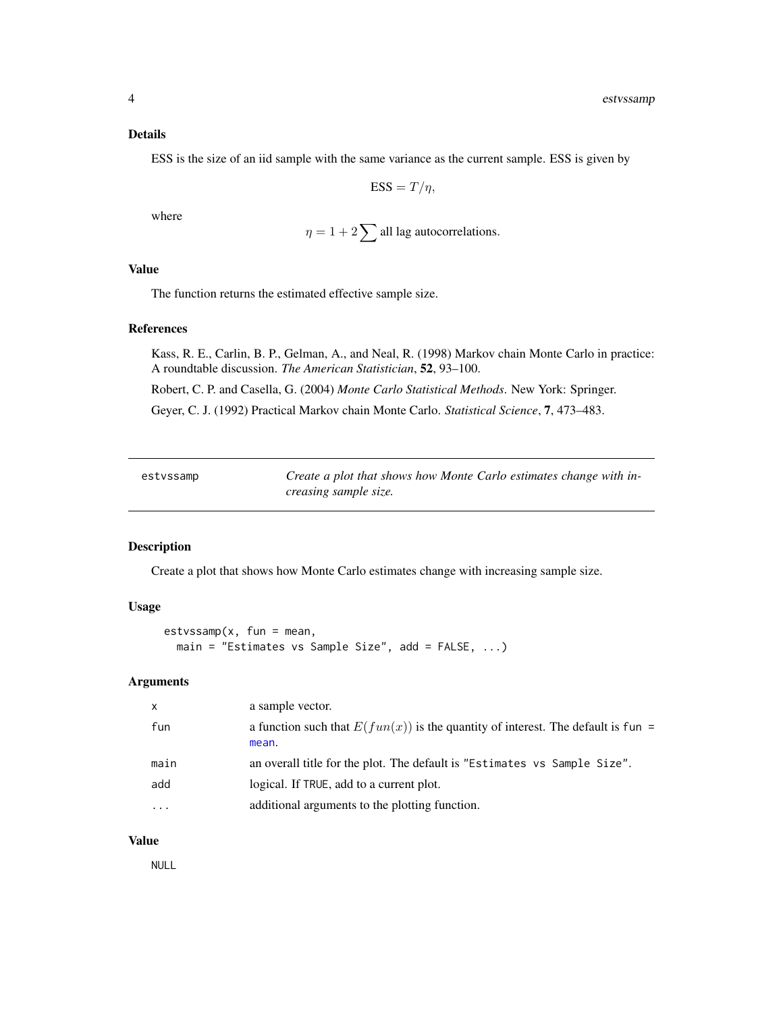#### <span id="page-3-0"></span>Details

ESS is the size of an iid sample with the same variance as the current sample. ESS is given by

$$
ESS = T/\eta,
$$

where

$$
\eta = 1 + 2 \sum
$$
 all lag autocorrelations.

#### Value

The function returns the estimated effective sample size.

#### References

Kass, R. E., Carlin, B. P., Gelman, A., and Neal, R. (1998) Markov chain Monte Carlo in practice: A roundtable discussion. *The American Statistician*, 52, 93–100.

Robert, C. P. and Casella, G. (2004) *Monte Carlo Statistical Methods*. New York: Springer.

Geyer, C. J. (1992) Practical Markov chain Monte Carlo. *Statistical Science*, 7, 473–483.

| estvssamp | Create a plot that shows how Monte Carlo estimates change with in- |
|-----------|--------------------------------------------------------------------|
|           | creasing sample size.                                              |

#### Description

Create a plot that shows how Monte Carlo estimates change with increasing sample size.

#### Usage

```
estvssamp(x, fun = mean,
 main = "Estimates vs Sample Size", add = FALSE, ...)
```
#### Arguments

| X        | a sample vector.                                                                            |
|----------|---------------------------------------------------------------------------------------------|
| fun      | a function such that $E(fun(x))$ is the quantity of interest. The default is fun =<br>mean. |
| main     | an overall title for the plot. The default is "Estimates vs Sample Size".                   |
| add      | logical. If TRUE, add to a current plot.                                                    |
| $\cdots$ | additional arguments to the plotting function.                                              |

#### Value

NULL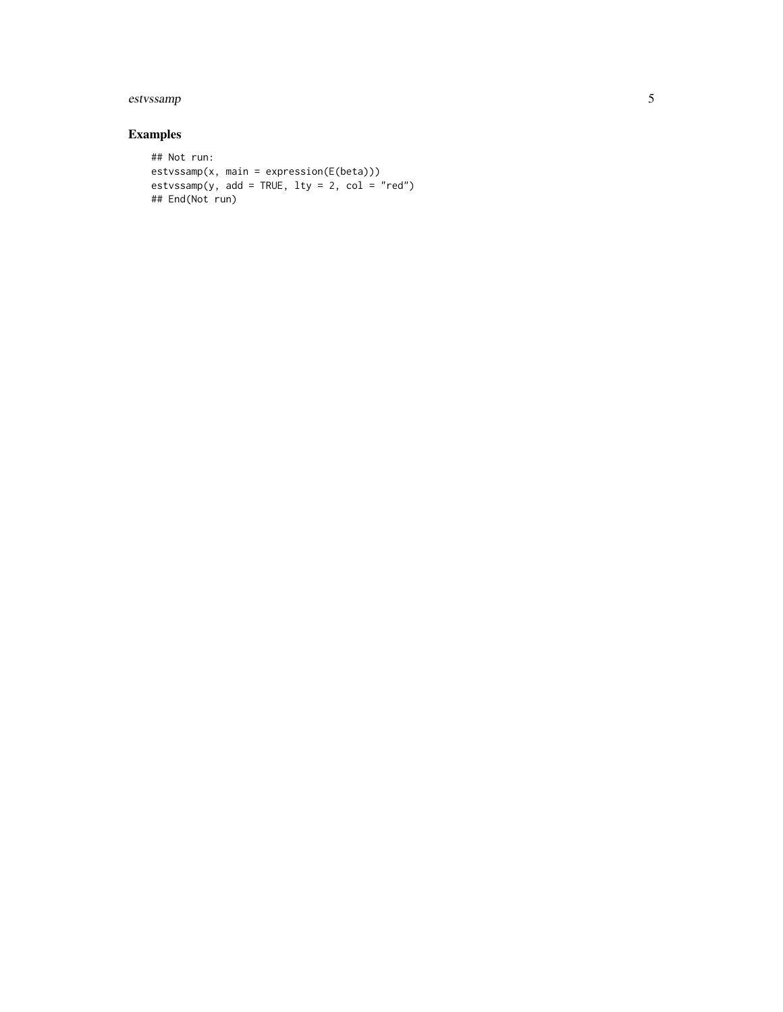### estvssamp 5

### Examples

```
## Not run:
estvssamp(x, main = expression(E(beta)))
estvssamp(y, add = TRUE, lty = 2, col = "red")
## End(Not run)
```